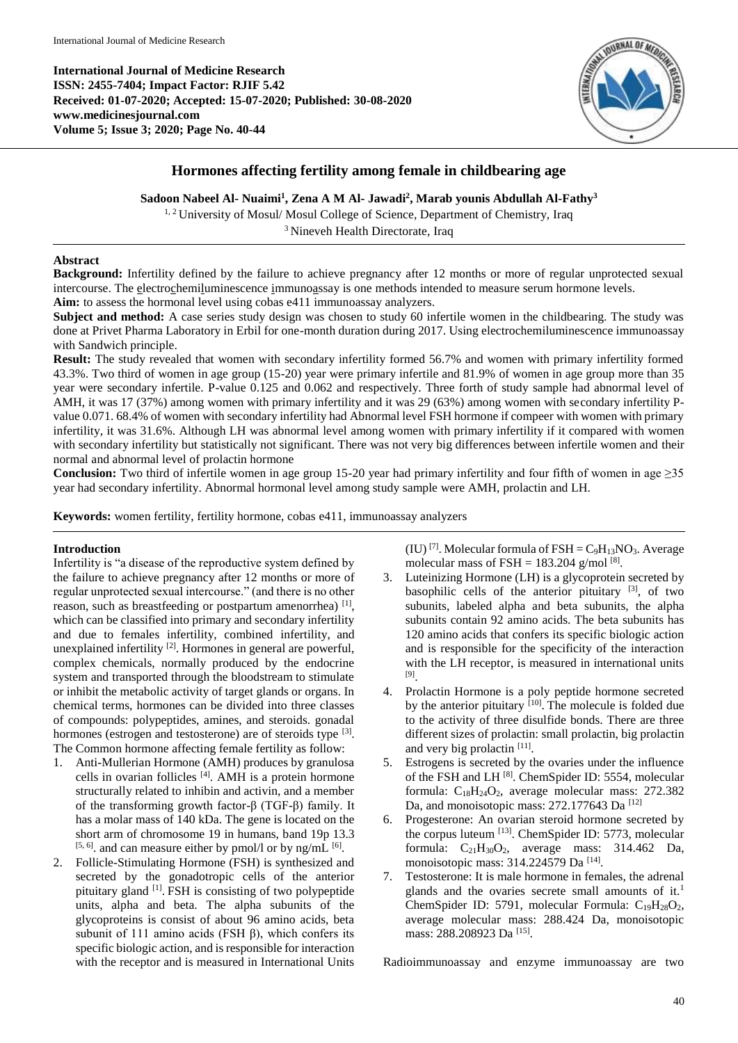**International Journal of Medicine Research ISSN: 2455-7404; Impact Factor: RJIF 5.42 Received: 01-07-2020; Accepted: 15-07-2020; Published: 30-08-2020 www.medicinesjournal.com Volume 5; Issue 3; 2020; Page No. 40-44**



# **Hormones affecting fertility among female in childbearing age**

**Sadoon Nabeel Al- Nuaimi<sup>1</sup> , Zena A M Al- Jawadi<sup>2</sup> , Marab younis Abdullah Al-Fathy<sup>3</sup>**

<sup>1, 2</sup> University of Mosul/ Mosul College of Science, Department of Chemistry, Iraq

<sup>3</sup> Nineveh Health Directorate, Iraq

### **Abstract**

**Background:** Infertility defined by the failure to achieve pregnancy after 12 months or more of regular unprotected sexual intercourse. The electrochemiluminescence immunoassay is one methods intended to measure serum hormone levels. **Aim:** to assess the hormonal level using cobas e411 immunoassay analyzers.

**Subject and method:** A case series study design was chosen to study 60 infertile women in the childbearing. The study was done at Privet Pharma Laboratory in Erbil for one-month duration during 2017. Using electrochemiluminescence immunoassay with Sandwich principle.

**Result:** The study revealed that women with secondary infertility formed 56.7% and women with primary infertility formed 43.3%. Two third of women in age group (15-20) year were primary infertile and 81.9% of women in age group more than 35 year were secondary infertile. P-value 0.125 and 0.062 and respectively. Three forth of study sample had abnormal level of AMH, it was 17 (37%) among women with primary infertility and it was 29 (63%) among women with secondary infertility Pvalue 0.071. 68.4% of women with secondary infertility had Abnormal level FSH hormone if compeer with women with primary infertility, it was 31.6%. Although LH was abnormal level among women with primary infertility if it compared with women with secondary infertility but statistically not significant. There was not very big differences between infertile women and their normal and abnormal level of prolactin hormone

**Conclusion:** Two third of infertile women in age group 15-20 year had primary infertility and four fifth of women in age ≥35 year had secondary infertility. Abnormal hormonal level among study sample were AMH, prolactin and LH.

**Keywords:** women fertility, fertility hormone, cobas e411, immunoassay analyzers

# **Introduction**

Infertility is "a disease of the reproductive system defined by the failure to achieve pregnancy after 12 months or more of regular unprotected sexual intercourse." (and there is no other reason, such as breastfeeding or postpartum amenorrhea)<sup>[1]</sup>, which can be classified into primary and secondary infertility and due to females infertility, combined infertility, and unexplained infertility  $[2]$ . Hormones in general are powerful, complex chemicals, normally produced by the endocrine system and transported through the bloodstream to stimulate or inhibit the metabolic activity of target glands or organs. In chemical terms, hormones can be divided into three classes of compounds: polypeptides, amines, and steroids. gonadal hormones (estrogen and testosterone) are of steroids type <sup>[3]</sup>. The Common hormone affecting female fertility as follow:

- 1. Anti-Mullerian Hormone (AMH) produces by granulosa cells in ovarian follicles <sup>[4]</sup>. AMH is a protein hormone structurally related to inhibin and activin, and a member of the transforming growth factor-β (TGF-β) family. It has a molar mass of 140 kDa. The gene is located on the short arm of chromosome 19 in humans, band 19p 13.3  $[5, 6]$ . and can measure either by pmol/l or by ng/mL  $[6]$ .
- 2. Follicle-Stimulating Hormone (FSH) is synthesized and secreted by the gonadotropic cells of the anterior pituitary gland <sup>[1]</sup>. FSH is consisting of two polypeptide units, alpha and beta. The alpha subunits of the glycoproteins is consist of about 96 amino acids, beta subunit of 111 amino acids (FSH  $\beta$ ), which confers its specific biologic action, and is responsible for interaction with the receptor and is measured in International Units

(IU)<sup>[7]</sup>. Molecular formula of  $FSH = C_9H_{13}NO_3$ . Average molecular mass of FSH =  $183.204$  g/mol<sup>[8]</sup>.

- 3. Luteinizing Hormone (LH) is a glycoprotein secreted by basophilic cells of the anterior pituitary [3], of two subunits, labeled alpha and beta subunits, the alpha subunits contain 92 amino acids. The beta subunits has 120 amino acids that confers its specific biologic action and is responsible for the specificity of the interaction with the LH receptor, is measured in international units [9] .
- 4. Prolactin Hormone is a poly peptide hormone secreted by the anterior pituitary  $[10]$ . The molecule is folded due to the activity of three disulfide bonds. There are three different sizes of prolactin: small prolactin, big prolactin and very big prolactin [11].
- 5. Estrogens is secreted by the ovaries under the influence of the FSH and LH<sup>[8]</sup>. ChemSpider ID: 5554, molecular formula: C18H24O2, average molecular mass: 272.382 Da, and monoisotopic mass: 272.177643 Da <a>[12]</a>
- 6. Progesterone: An ovarian steroid hormone secreted by the corpus luteum [13]. ChemSpider ID: 5773, molecular formula:  $C_{21}H_{30}O_2$ , average mass: 314.462 Da, monoisotopic mass: 314.224579 Da [14].
- 7. Testosterone: It is male hormone in females, the adrenal glands and the ovaries secrete small amounts of it.<sup>1</sup> ChemSpider ID: 5791, molecular Formula:  $C_{19}H_{28}O_2$ , average molecular mass: 288.424 Da, monoisotopic mass: 288.208923 Da [15].

Radioimmunoassay and enzyme immunoassay are two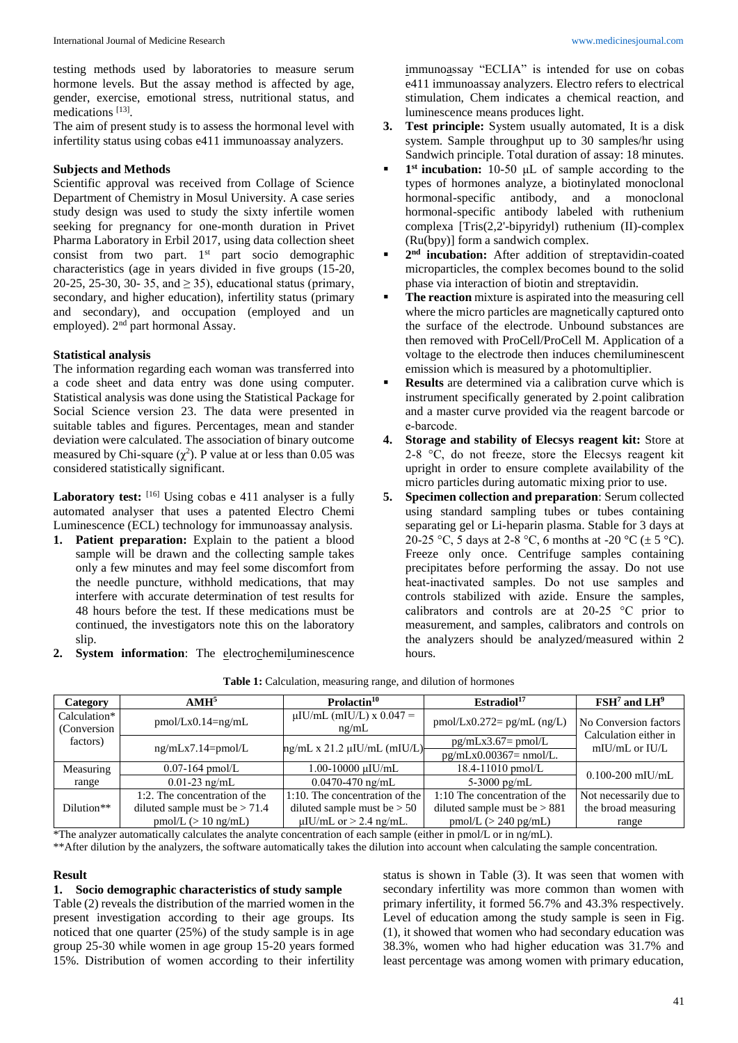testing methods used by laboratories to measure serum hormone levels. But the assay method is affected by age, gender, exercise, emotional stress, nutritional status, and medications [13].

The aim of present study is to assess the hormonal level with infertility status using cobas e411 immunoassay analyzers.

### **Subjects and Methods**

Scientific approval was received from Collage of Science Department of Chemistry in Mosul University. A case series study design was used to study the sixty infertile women seeking for pregnancy for one-month duration in Privet Pharma Laboratory in Erbil 2017, using data collection sheet consist from two part. 1<sup>st</sup> part socio demographic characteristics (age in years divided in five groups (15-20, 20-25, 25-30, 30- 35, and  $\geq$  35), educational status (primary, secondary, and higher education), infertility status (primary and secondary), and occupation (employed and un employed). 2<sup>nd</sup> part hormonal Assay.

# **Statistical analysis**

The information regarding each woman was transferred into a code sheet and data entry was done using computer. Statistical analysis was done using the Statistical Package for Social Science version 23. The data were presented in suitable tables and figures. Percentages, mean and stander deviation were calculated. The association of binary outcome measured by Chi-square  $(\chi^2)$ . P value at or less than 0.05 was considered statistically significant.

Laboratory test: [16] Using cobas e 411 analyser is a fully automated analyser that uses a patented Electro Chemi Luminescence (ECL) technology for immunoassay analysis.

- **1. Patient preparation:** Explain to the patient a blood sample will be drawn and the collecting sample takes only a few minutes and may feel some discomfort from the needle puncture, withhold medications, that may interfere with accurate determination of test results for 48 hours before the test. If these medications must be continued, the investigators note this on the laboratory slip.
- **2. System information**: The electrochemiluminescence

immunoassay "ECLIA" is intended for use on cobas e411 immunoassay analyzers. Electro refers to electrical stimulation, Chem indicates a chemical reaction, and luminescence means produces light.

- **3. Test principle:** System usually automated, It is a disk system. Sample throughput up to 30 samples/hr using Sandwich principle. Total duration of assay: 18 minutes.
- **1**<sup>st</sup> **incubation:** 10-50 μL of sample according to the types of hormones analyze, a biotinylated monoclonal hormonal-specific antibody, and a monoclonal hormonal-specific antibody labeled with ruthenium complexa [Tris(2,2'-bipyridyl) ruthenium (II)-complex (Ru(bpy)] form a sandwich complex.
- **2**<sup>nd</sup> **incubation:** After addition of streptavidin-coated microparticles, the complex becomes bound to the solid phase via interaction of biotin and streptavidin.
- **The reaction** mixture is aspirated into the measuring cell where the micro particles are magnetically captured onto the surface of the electrode. Unbound substances are then removed with ProCell/ProCell M. Application of a voltage to the electrode then induces chemiluminescent emission which is measured by a photomultiplier.
- **Results** are determined via a calibration curve which is instrument specifically generated by 2-point calibration and a master curve provided via the reagent barcode or e‑barcode.
- **4. Storage and stability of Elecsys reagent kit:** Store at 2-8  $\degree$ C, do not freeze, store the Elecsys reagent kit upright in order to ensure complete availability of the micro particles during automatic mixing prior to use.
- **5. Specimen collection and preparation**: Serum collected using standard sampling tubes or tubes containing separating gel or Li-heparin plasma. Stable for 3 days at 20–25 °C, 5 days at 2–8 °C, 6 months at -20 °C ( $\pm$  5 °C). Freeze only once. Centrifuge samples containing precipitates before performing the assay. Do not use heat-inactivated samples. Do not use samples and controls stabilized with azide. Ensure the samples, calibrators and controls are at 20‑25 °C prior to measurement, and samples, calibrators and controls on the analyzers should be analyzed/measured within 2 hours.

| Category                     | AMH <sup>5</sup>                | Prolactin <sup>10</sup>                | Estradiol <sup>17</sup>        | $\text{FSH}^7$ and $\text{LH}^9$                                 |  |
|------------------------------|---------------------------------|----------------------------------------|--------------------------------|------------------------------------------------------------------|--|
| Calculation*<br>(Conversion) | $pmol/Lx0.14=ng/mL$             | $\mu$ IU/mL (mIU/L) x 0.047 =<br>ng/mL | $pmol/Lx0.272 = pg/mL (ng/L)$  | No Conversion factors<br>Calculation either in<br>mIU/mL or IU/L |  |
| factors)                     | $ng/mLx7.14=pmol/L$             | $\text{ng/mL}$ x 21.2 µIU/mL (mIU/L)   | $pg/mLx3.67=pmol/L$            |                                                                  |  |
|                              |                                 |                                        | $pg/mLx0.00367=nmol/L.$        |                                                                  |  |
| Measuring                    | $0.07 - 164$ pmol/L             | 1.00-10000 µIU/mL                      | $18.4 - 11010$ pmol/L          | $0.100 - 200$ mIU/mL                                             |  |
| range                        | $0.01-23$ ng/mL                 | $0.0470 - 470$ ng/mL                   | 5-3000 pg/mL                   |                                                                  |  |
|                              | 1:2. The concentration of the   | $1:10$ . The concentration of the      | 1:10 The concentration of the  | Not necessarily due to                                           |  |
| Dilution <sup>**</sup>       | diluted sample must be $> 71.4$ | diluted sample must be $> 50$          | diluted sample must be $> 881$ | the broad measuring                                              |  |
|                              | $pmol/L$ (> 10 ng/mL)           | $\mu$ IU/mL or > 2.4 ng/mL.            | $pmol/L$ (> 240 pg/mL)         | range                                                            |  |

#### **Table 1:** Calculation, measuring range, and dilution of hormones

\*The analyzer automatically calculates the analyte concentration of each sample (either in pmol/L or in ng/mL).

\*\*After dilution by the analyzers, the software automatically takes the dilution into account when calculating the sample concentration.

### **Result**

# **1. Socio demographic characteristics of study sample**

Table (2) reveals the distribution of the married women in the present investigation according to their age groups. Its noticed that one quarter (25%) of the study sample is in age group 25-30 while women in age group 15-20 years formed 15%. Distribution of women according to their infertility

status is shown in Table (3). It was seen that women with secondary infertility was more common than women with primary infertility, it formed 56.7% and 43.3% respectively. Level of education among the study sample is seen in Fig. (1), it showed that women who had secondary education was 38.3%, women who had higher education was 31.7% and least percentage was among women with primary education,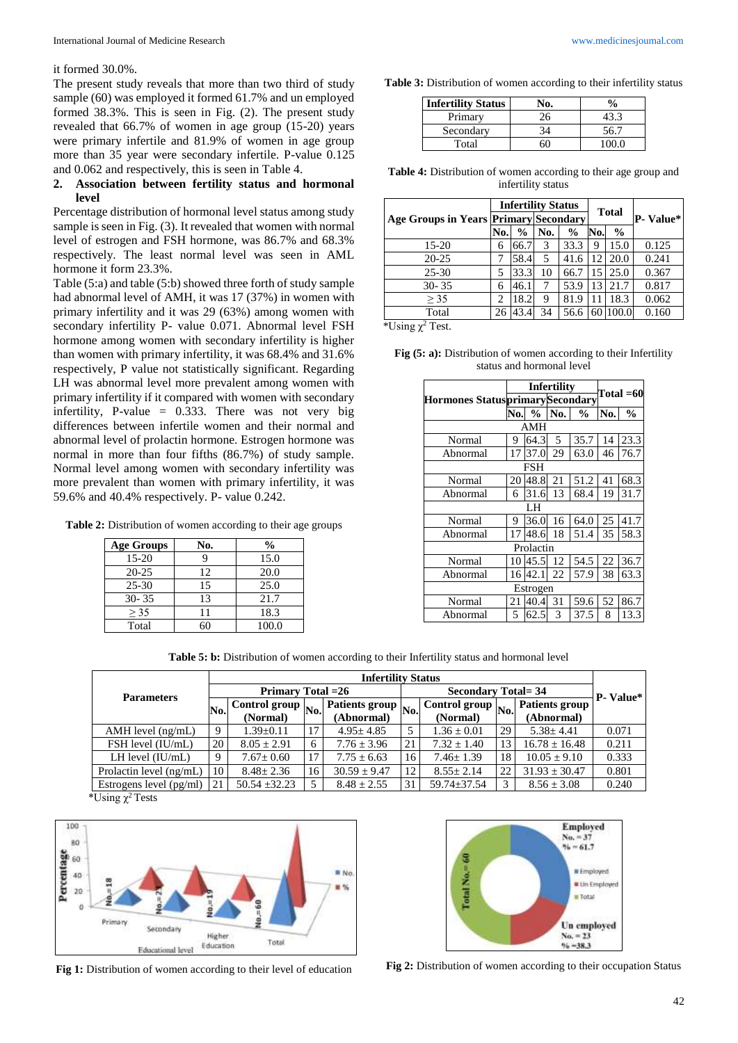#### it formed 30.0%.

The present study reveals that more than two third of study sample (60) was employed it formed 61.7% and un employed formed 38.3%. This is seen in Fig. (2). The present study revealed that 66.7% of women in age group (15-20) years were primary infertile and 81.9% of women in age group more than 35 year were secondary infertile. P-value 0.125 and 0.062 and respectively, this is seen in Table 4.

# **2. Association between fertility status and hormonal level**

Percentage distribution of hormonal level status among study sample is seen in Fig. (3). It revealed that women with normal level of estrogen and FSH hormone, was 86.7% and 68.3% respectively. The least normal level was seen in AML hormone it form 23.3%.

Table (5:a) and table (5:b) showed three forth of study sample had abnormal level of AMH, it was 17 (37%) in women with primary infertility and it was 29 (63%) among women with secondary infertility P- value 0.071. Abnormal level FSH hormone among women with secondary infertility is higher than women with primary infertility, it was 68.4% and 31.6% respectively, P value not statistically significant. Regarding LH was abnormal level more prevalent among women with primary infertility if it compared with women with secondary infertility, P-value = 0.333. There was not very big differences between infertile women and their normal and abnormal level of prolactin hormone. Estrogen hormone was normal in more than four fifths (86.7%) of study sample. Normal level among women with secondary infertility was more prevalent than women with primary infertility, it was 59.6% and 40.4% respectively. P- value 0.242.

**Table 2:** Distribution of women according to their age groups

| Age Groups | No. | $\frac{0}{0}$ |
|------------|-----|---------------|
| 15-20      |     | 15.0          |
| $20 - 25$  | 12  | 20.0          |
| $25 - 30$  | 15  | 25.0          |
| $30 - 35$  | 13  | 21.7          |
| > 35       | 11  | 18.3          |
| Total      | 60  | 100.0         |

**Table 3:** Distribution of women according to their infertility status

| <b>Infertility Status</b> | Vо. | $\frac{0}{\alpha}$ |
|---------------------------|-----|--------------------|
| Primary                   |     |                    |
| Secondary                 |     | 56.7               |
| Total                     |     |                    |

**Table 4:** Distribution of women according to their age group and infertility status

|    |               |     |               |                           |                                              | P- Value*           |  |
|----|---------------|-----|---------------|---------------------------|----------------------------------------------|---------------------|--|
|    | $\frac{6}{9}$ | No. | $\frac{6}{9}$ |                           | $\frac{6}{9}$                                |                     |  |
| 6  | 66.7          | 3   | 33.3          | 9                         | 15.0                                         | 0.125               |  |
|    |               | 5   | 41.6          | 12                        | 20.0                                         | 0.241               |  |
| 5  | 33.3          | 10  | 66.7          | 15                        | 25.0                                         | 0.367               |  |
| 6  | 46.1          | 7   | 53.9          | 13                        | 21.7                                         | 0.817               |  |
| 2  | 18.2          | 9   | 81.9          |                           | 18.3                                         | 0.062               |  |
| 26 | 43.4          | 34  | 56.6          | 60                        | 100.0                                        | 0.160               |  |
|    |               | No. | 58.4          | <b>Infertility Status</b> | <b>Age Groups in Years Primary Secondary</b> | <b>Total</b><br>No. |  |

\*Using  $\chi^2$  Test.

| Fig $(5: a)$ : Distribution of women according to their Infertility |  |
|---------------------------------------------------------------------|--|
| status and hormonal level                                           |  |

|                                        |     | <b>Infertility</b> | Total $=60$ |               |     |               |  |  |  |
|----------------------------------------|-----|--------------------|-------------|---------------|-----|---------------|--|--|--|
| <b>Hormones StatusprimarySecondary</b> |     |                    |             |               |     |               |  |  |  |
|                                        | No. | $\frac{0}{0}$      | No.         | $\frac{0}{0}$ | No. | $\frac{0}{0}$ |  |  |  |
| AMH                                    |     |                    |             |               |     |               |  |  |  |
| Normal                                 | 9   | 64.3               | 5           | 35.7          | 14  | 23.3          |  |  |  |
| Abnormal                               | 17  | 37.0               | 29          | 63.0          | 46  | 76.7          |  |  |  |
| <b>FSH</b>                             |     |                    |             |               |     |               |  |  |  |
| Normal                                 | 20  | 48.8               | 21          | 51.2          | 41  | 68.3          |  |  |  |
| Abnormal                               | 6   | 31.6               | 13          | 68.4          | 19  | 31.7          |  |  |  |
| LH                                     |     |                    |             |               |     |               |  |  |  |
| Normal                                 | 9   | 36.0               | 16          | 64.0          | 25  | 41.7          |  |  |  |
| Abnormal                               | 17  | 48.6               | 18          | 51.4          | 35  | 58.3          |  |  |  |
|                                        |     | Prolactin          |             |               |     |               |  |  |  |
| Normal                                 | 10  | 45.5               | 12          | 54.5          | 22  | 36.7          |  |  |  |
| Abnormal                               | 16  | 42.1               | 22          | 57.9          | 38  | 63.3          |  |  |  |
| Estrogen                               |     |                    |             |               |     |               |  |  |  |
| Normal                                 | 21  | 40.4               | 31          | 59.6          | 52  | 86.7          |  |  |  |
| Abnormal                               | 5   | 62.5               | 3           | 37.5          | 8   | 13.3          |  |  |  |

Table 5: b: Distribution of women according to their Infertility status and hormonal level

| <b>Parameters</b>               |     | <b>Infertility Status</b> |                          |                           |    |                 |     |                   |       |
|---------------------------------|-----|---------------------------|--------------------------|---------------------------|----|-----------------|-----|-------------------|-------|
|                                 |     | <b>Primary Total = 26</b> |                          | <b>Secondary Total=34</b> |    |                 |     | <b>P</b> - Value* |       |
|                                 |     | Control group $N_0$ .     | Patients group $N_0$   U |                           |    | Control group   | No. | Patients group    |       |
|                                 | No. | (Normal)                  |                          | (Abnormal)                |    | (Normal)        |     | (Abnormal)        |       |
| $AMH$ level $(ng/mL)$           | 9   | $1.39 \pm 0.11$           | 17                       | $4.95 \pm 4.85$           |    | $1.36 \pm 0.01$ | 29  | $5.38 + 4.41$     | 0.071 |
| FSH level (IU/mL)               | 20  | $8.05 \pm 2.91$           | 6                        | $7.76 \pm 3.96$           | 21 | $7.32 \pm 1.40$ | 13  | $16.78 \pm 16.48$ | 0.211 |
| LH level $(IU/mL)$              | 9   | $7.67 \pm 0.60$           | 17                       | $7.75 \pm 6.63$           | 16 | $7.46 \pm 1.39$ | 18  | $10.05 \pm 9.10$  | 0.333 |
| Prolactin level (ng/mL)         | 10  | $8.48 \pm 2.36$           | 16                       | $30.59 \pm 9.47$          | 12 | $8.55 \pm 2.14$ | 22  | $31.93 \pm 30.47$ | 0.801 |
| Estrogens level $(pg/ml)$<br>2m |     | $50.54 + 32.23$           | 5                        | $8.48 \pm 2.55$           | 31 | 59.74±37.54     | 3   | $8.56 \pm 3.08$   | 0.240 |

\*Using  $\chi^2$  Tests



Fig 1: Distribution of women according to their level of education Fig 2: Distribution of women according to their occupation Status

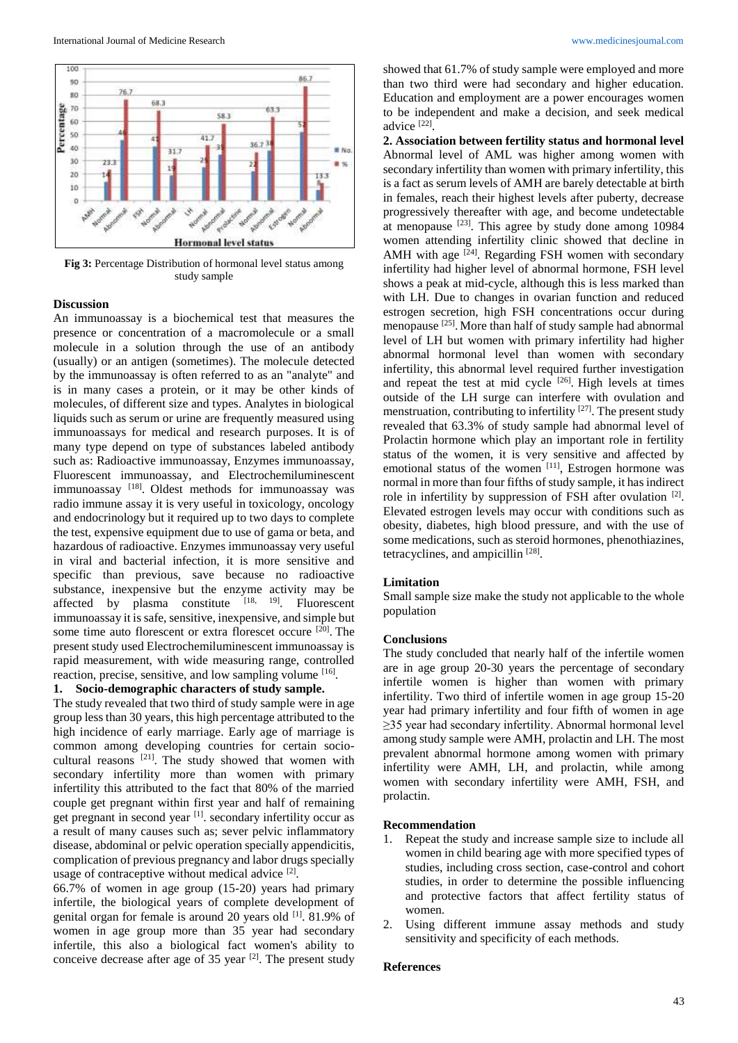

**Fig 3:** Percentage Distribution of hormonal level status among study sample

### **Discussion**

An immunoassay is a biochemical test that measures the presence or concentration of a macromolecule or a small molecule in a solution through the use of an antibody (usually) or an antigen (sometimes). The molecule detected by the immunoassay is often referred to as an "analyte" and is in many cases a protein, or it may be other kinds of molecules, of different size and types. Analytes in biological liquids such as serum or urine are frequently measured using immunoassays for medical and research purposes. It is of many type depend on type of substances labeled antibody such as: Radioactive immunoassay, Enzymes immunoassay, Fluorescent immunoassay, and Electrochemiluminescent immunoassay<sup>[18]</sup>. Oldest methods for immunoassay was radio immune assay it is very useful in toxicology, oncology and endocrinology but it required up to two days to complete the test, expensive equipment due to use of gama or beta, and hazardous of radioactive. Enzymes immunoassay very useful in viral and bacterial infection, it is more sensitive and specific than previous, save because no radioactive substance, inexpensive but the enzyme activity may be affected by plasma constitute  $[18, 19]$ . Fluorescent immunoassay it is safe, sensitive, inexpensive, and simple but some time auto florescent or extra florescet occure <sup>[20]</sup>. The present study used Electrochemiluminescent immunoassay is rapid measurement, with wide measuring range, controlled reaction, precise, sensitive, and low sampling volume [16].

#### **1. Socio-demographic characters of study sample.**

The study revealed that two third of study sample were in age group less than 30 years, this high percentage attributed to the high incidence of early marriage. Early age of marriage is common among developing countries for certain sociocultural reasons  $[21]$ . The study showed that women with secondary infertility more than women with primary infertility this attributed to the fact that 80% of the married couple get pregnant within first year and half of remaining get pregnant in second year <sup>[1]</sup>. secondary infertility occur as a result of many causes such as; sever pelvic inflammatory disease, abdominal or pelvic operation specially appendicitis, complication of previous pregnancy and labor drugs specially usage of contraceptive without medical advice [2].

66.7% of women in age group (15-20) years had primary infertile, the biological years of complete development of genital organ for female is around 20 years old [1]. 81.9% of women in age group more than 35 year had secondary infertile, this also a biological fact women's ability to conceive decrease after age of 35 year  $[2]$ . The present study

showed that 61.7% of study sample were employed and more than two third were had secondary and higher education. Education and employment are a power encourages women to be independent and make a decision, and seek medical advice [22] .

**2. Association between fertility status and hormonal level**  Abnormal level of AML was higher among women with secondary infertility than women with primary infertility, this is a fact as serum levels of AMH are barely detectable at birth in females, reach their highest levels after puberty, decrease progressively thereafter with age, and become undetectable at menopause  $[23]$ . This agree by study done among 10984 women attending infertility clinic showed that decline in AMH with age  $[24]$ . Regarding FSH women with secondary infertility had higher level of abnormal hormone, FSH level shows a peak at mid-cycle, although this is less marked than with LH. Due to changes in ovarian function and reduced estrogen secretion, high FSH concentrations occur during menopause <sup>[25]</sup>. More than half of study sample had abnormal level of LH but women with primary infertility had higher abnormal hormonal level than women with secondary infertility, this abnormal level required further investigation and repeat the test at mid cycle  $[26]$ . High levels at times outside of the LH surge can interfere with ovulation and menstruation, contributing to infertility  $[27]$ . The present study revealed that 63.3% of study sample had abnormal level of Prolactin hormone which play an important role in fertility status of the women, it is very sensitive and affected by emotional status of the women [11], Estrogen hormone was normal in more than four fifths of study sample, it has indirect role in infertility by suppression of FSH after ovulation [2]. Elevated estrogen levels may occur with conditions such as obesity, diabetes, high blood pressure, and with the use of some medications, such as steroid hormones, phenothiazines, tetracyclines, and ampicillin [28].

#### **Limitation**

Small sample size make the study not applicable to the whole population

#### **Conclusions**

The study concluded that nearly half of the infertile women are in age group 20-30 years the percentage of secondary infertile women is higher than women with primary infertility. Two third of infertile women in age group 15-20 year had primary infertility and four fifth of women in age ≥35 year had secondary infertility. Abnormal hormonal level among study sample were AMH, prolactin and LH. The most prevalent abnormal hormone among women with primary infertility were AMH, LH, and prolactin, while among women with secondary infertility were AMH, FSH, and prolactin.

#### **Recommendation**

- 1. Repeat the study and increase sample size to include all women in child bearing age with more specified types of studies, including cross section, case-control and cohort studies, in order to determine the possible influencing and protective factors that affect fertility status of women.
- 2. Using different immune assay methods and study sensitivity and specificity of each methods.

### **References**